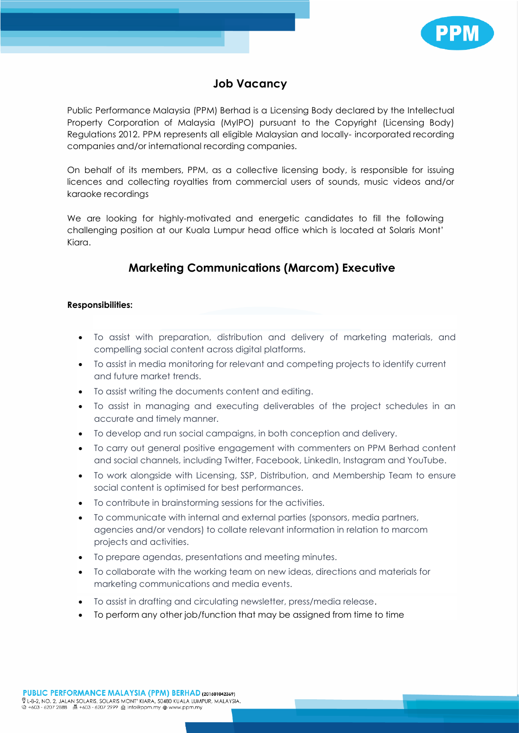

## **Job Vacancy**

Public Performance Malaysia (PPM) Berhad is a Licensing Body declared by the Intellectual Property Corporation of Malaysia (MyIPO) pursuant to the Copyright (Licensing Body) Regulations 2012. PPM represents all eligible Malaysian and locally- incorporated recording companies and/or international recording companies.

On behalf of its members, PPM, as a collective licensing body, is responsible for issuing licences and collecting royalties from commercial users of sounds, music videos and/or karaoke recordings

We are looking for highly-motivated and energetic candidates to fill the following challenging position at our Kuala Lumpur head office which is located at Solaris Mont' Kiara.

## **Marketing Communications (Marcom) Executive**

## **Responsibilities:**

- To assist with preparation, distribution and delivery of marketing materials, and compelling social content across digital platforms.
- To assist in media monitoring for relevant and competing projects to identify current and future market trends.
- To assist writing the documents content and editing.
- To assist in managing and executing deliverables of the project schedules in an accurate and timely manner.
- To develop and run social campaigns, in both conception and delivery.
- To carry out general positive engagement with commenters on PPM Berhad content and social channels, including Twitter, Facebook, LinkedIn, Instagram and YouTube.
- To work alongside with Licensing, SSP, Distribution, and Membership Team to ensure social content is optimised for best performances.
- To contribute in brainstorming sessions for the activities.
- To communicate with internal and external parties (sponsors, media partners, agencies and/or vendors) to collate relevant information in relation to marcom projects and activities.
- To prepare agendas, presentations and meeting minutes.
- To collaborate with the working team on new ideas, directions and materials for marketing communications and media events.
- To assist in drafting and circulating newsletter, press/media release.
- To perform any other job/function that may be assigned from time to time